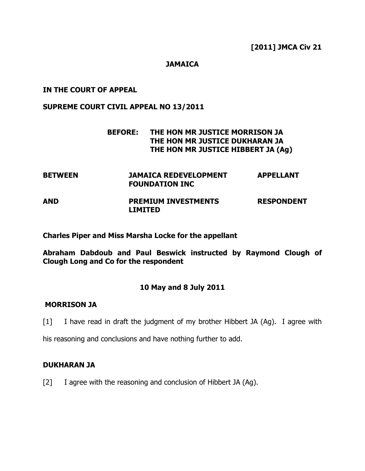# **JAMAICA**

### IN THE COURT OF APPEAL

### SUPREME COURT CIVIL APPEAL NO 13/2011

# BEFORE: THE HON MR JUSTICE MORRISON JA THE HON MR JUSTICE DUKHARAN JA THE HON MR JUSTICE HIBBERT JA (Ag)

| <b>BETWEEN</b> | JAMAICA REDEVELOPMENT<br><b>FOUNDATION INC</b> | <b>APPELLANT</b>  |
|----------------|------------------------------------------------|-------------------|
| <b>AND</b>     | <b>PREMIUM INVESTMENTS</b><br><b>LIMITED</b>   | <b>RESPONDENT</b> |

Charles Piper and Miss Marsha Locke for the appellant

Abraham Dabdoub and Paul Beswick instructed by Raymond Clough of Clough Long and Co for the respondent

# 10 May and 8 July 2011

# MORRISON JA

[1] I have read in draft the judgment of my brother Hibbert JA (Ag). I agree with

his reasoning and conclusions and have nothing further to add.

#### DUKHARAN JA

[2] I agree with the reasoning and conclusion of Hibbert JA (Ag).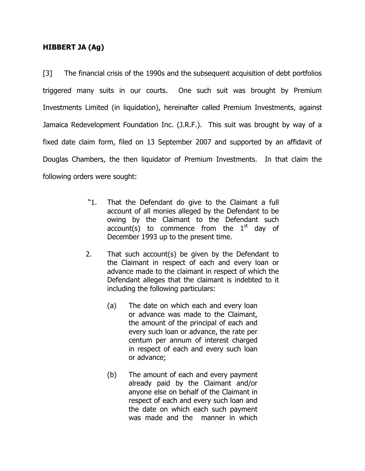# HIBBERT JA (Ag)

[3] The financial crisis of the 1990s and the subsequent acquisition of debt portfolios triggered many suits in our courts. One such suit was brought by Premium Investments Limited (in liquidation), hereinafter called Premium Investments, against Jamaica Redevelopment Foundation Inc. (J.R.F.). This suit was brought by way of a fixed date claim form, filed on 13 September 2007 and supported by an affidavit of Douglas Chambers, the then liquidator of Premium Investments. In that claim the following orders were sought:

- "1. That the Defendant do give to the Claimant a full account of all monies alleged by the Defendant to be owing by the Claimant to the Defendant such  $account(s)$  to commence from the  $1<sup>st</sup>$  day of December 1993 up to the present time.
- 2. That such account(s) be given by the Defendant to the Claimant in respect of each and every loan or advance made to the claimant in respect of which the Defendant alleges that the claimant is indebted to it including the following particulars:
	- (a) The date on which each and every loan or advance was made to the Claimant, the amount of the principal of each and every such loan or advance, the rate per centum per annum of interest charged in respect of each and every such loan or advance;
	- (b) The amount of each and every payment already paid by the Claimant and/or anyone else on behalf of the Claimant in respect of each and every such loan and the date on which each such payment was made and the manner in which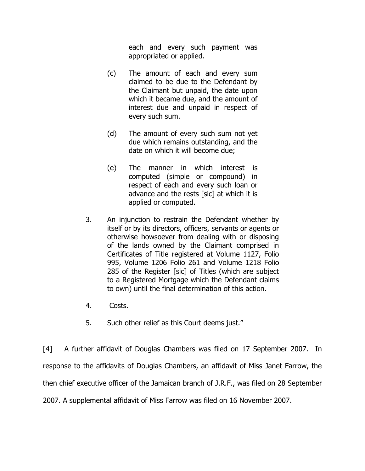each and every such payment was appropriated or applied.

- (c) The amount of each and every sum claimed to be due to the Defendant by the Claimant but unpaid, the date upon which it became due, and the amount of interest due and unpaid in respect of every such sum.
- (d) The amount of every such sum not yet due which remains outstanding, and the date on which it will become due;
- (e) The manner in which interest is computed (simple or compound) in respect of each and every such loan or advance and the rests [sic] at which it is applied or computed.
- 3. An injunction to restrain the Defendant whether by itself or by its directors, officers, servants or agents or otherwise howsoever from dealing with or disposing of the lands owned by the Claimant comprised in Certificates of Title registered at Volume 1127, Folio 995, Volume 1206 Folio 261 and Volume 1218 Folio 285 of the Register [sic] of Titles (which are subject to a Registered Mortgage which the Defendant claims to own) until the final determination of this action.
- 4. Costs.
- 5. Such other relief as this Court deems just."

[4] A further affidavit of Douglas Chambers was filed on 17 September 2007. In response to the affidavits of Douglas Chambers, an affidavit of Miss Janet Farrow, the then chief executive officer of the Jamaican branch of J.R.F., was filed on 28 September 2007. A supplemental affidavit of Miss Farrow was filed on 16 November 2007.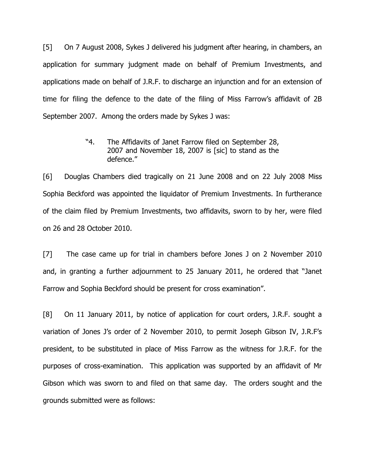[5] On 7 August 2008, Sykes J delivered his judgment after hearing, in chambers, an application for summary judgment made on behalf of Premium Investments, and applications made on behalf of J.R.F. to discharge an injunction and for an extension of time for filing the defence to the date of the filing of Miss Farrow's affidavit of 2B September 2007. Among the orders made by Sykes J was:

> "4. The Affidavits of Janet Farrow filed on September 28, 2007 and November 18, 2007 is [sic] to stand as the defence."

[6] Douglas Chambers died tragically on 21 June 2008 and on 22 July 2008 Miss Sophia Beckford was appointed the liquidator of Premium Investments. In furtherance of the claim filed by Premium Investments, two affidavits, sworn to by her, were filed on 26 and 28 October 2010.

[7] The case came up for trial in chambers before Jones J on 2 November 2010 and, in granting a further adjournment to 25 January 2011, he ordered that "Janet Farrow and Sophia Beckford should be present for cross examination".

[8] On 11 January 2011, by notice of application for court orders, J.R.F. sought a variation of Jones J's order of 2 November 2010, to permit Joseph Gibson IV, J.R.F's president, to be substituted in place of Miss Farrow as the witness for J.R.F. for the purposes of cross-examination. This application was supported by an affidavit of Mr Gibson which was sworn to and filed on that same day. The orders sought and the grounds submitted were as follows: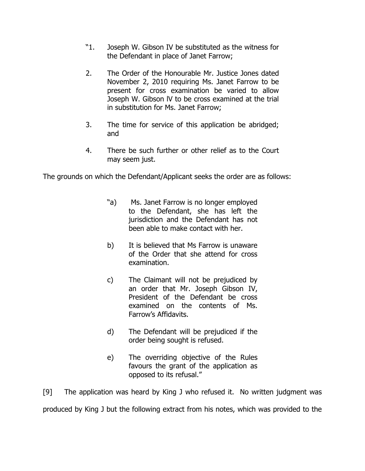- "1. Joseph W. Gibson IV be substituted as the witness for the Defendant in place of Janet Farrow;
- 2. The Order of the Honourable Mr. Justice Jones dated November 2, 2010 requiring Ms. Janet Farrow to be present for cross examination be varied to allow Joseph W. Gibson lV to be cross examined at the trial in substitution for Ms. Janet Farrow;
- 3. The time for service of this application be abridged; and
- 4. There be such further or other relief as to the Court may seem just.

The grounds on which the Defendant/Applicant seeks the order are as follows:

- "a) Ms. Janet Farrow is no longer employed to the Defendant, she has left the jurisdiction and the Defendant has not been able to make contact with her.
- b) It is believed that Ms Farrow is unaware of the Order that she attend for cross examination.
- c) The Claimant will not be prejudiced by an order that Mr. Joseph Gibson IV, President of the Defendant be cross examined on the contents of Ms. Farrow's Affidavits.
- d) The Defendant will be prejudiced if the order being sought is refused.
- e) The overriding objective of the Rules favours the grant of the application as opposed to its refusal."

[9] The application was heard by King J who refused it. No written judgment was produced by King J but the following extract from his notes, which was provided to the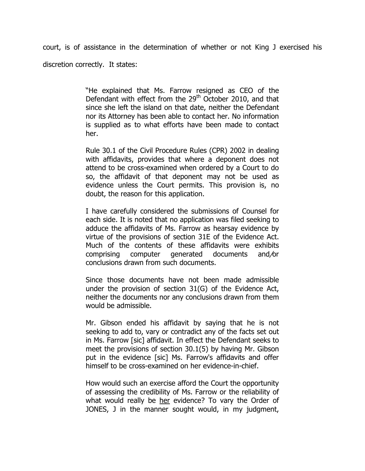court, is of assistance in the determination of whether or not King J exercised his discretion correctly. It states:

> "He explained that Ms. Farrow resigned as CEO of the Defendant with effect from the 29<sup>th</sup> October 2010, and that since she left the island on that date, neither the Defendant nor its Attorney has been able to contact her. No information is supplied as to what efforts have been made to contact her.

> Rule 30.1 of the Civil Procedure Rules (CPR) 2002 in dealing with affidavits, provides that where a deponent does not attend to be cross-examined when ordered by a Court to do so, the affidavit of that deponent may not be used as evidence unless the Court permits. This provision is, no doubt, the reason for this application.

> I have carefully considered the submissions of Counsel for each side. It is noted that no application was filed seeking to adduce the affidavits of Ms. Farrow as hearsay evidence by virtue of the provisions of section 31E of the Evidence Act. Much of the contents of these affidavits were exhibits comprising computer generated documents and/or conclusions drawn from such documents.

> Since those documents have not been made admissible under the provision of section 31(G) of the Evidence Act, neither the documents nor any conclusions drawn from them would be admissible.

> Mr. Gibson ended his affidavit by saying that he is not seeking to add to, vary or contradict any of the facts set out in Ms. Farrow [sic] affidavit. In effect the Defendant seeks to meet the provisions of section 30.1(5) by having Mr. Gibson put in the evidence [sic] Ms. Farrow's affidavits and offer himself to be cross-examined on her evidence-in-chief.

> How would such an exercise afford the Court the opportunity of assessing the credibility of Ms. Farrow or the reliability of what would really be her evidence? To vary the Order of JONES, J in the manner sought would, in my judgment,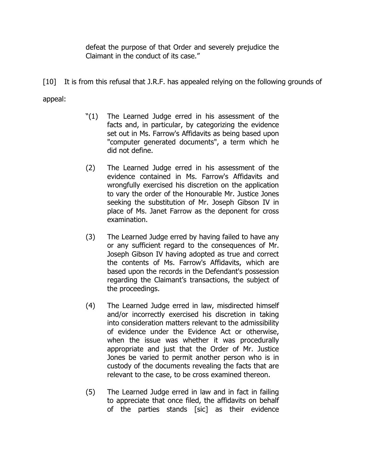defeat the purpose of that Order and severely prejudice the Claimant in the conduct of its case."

[10] It is from this refusal that J.R.F. has appealed relying on the following grounds of appeal:

- "(1) The Learned Judge erred in his assessment of the facts and, in particular, by categorizing the evidence set out in Ms. Farrow's Affidavits as being based upon "computer generated documents", a term which he did not define.
- (2) The Learned Judge erred in his assessment of the evidence contained in Ms. Farrow's Affidavits and wrongfully exercised his discretion on the application to vary the order of the Honourable Mr. Justice Jones seeking the substitution of Mr. Joseph Gibson IV in place of Ms. Janet Farrow as the deponent for cross examination.
- (3) The Learned Judge erred by having failed to have any or any sufficient regard to the consequences of Mr. Joseph Gibson IV having adopted as true and correct the contents of Ms. Farrow's Affidavits, which are based upon the records in the Defendant's possession regarding the Claimant's transactions, the subject of the proceedings.
- (4) The Learned Judge erred in law, misdirected himself and/or incorrectly exercised his discretion in taking into consideration matters relevant to the admissibility of evidence under the Evidence Act or otherwise, when the issue was whether it was procedurally appropriate and just that the Order of Mr. Justice Jones be varied to permit another person who is in custody of the documents revealing the facts that are relevant to the case, to be cross examined thereon.
- (5) The Learned Judge erred in law and in fact in failing to appreciate that once filed, the affidavits on behalf of the parties stands [sic] as their evidence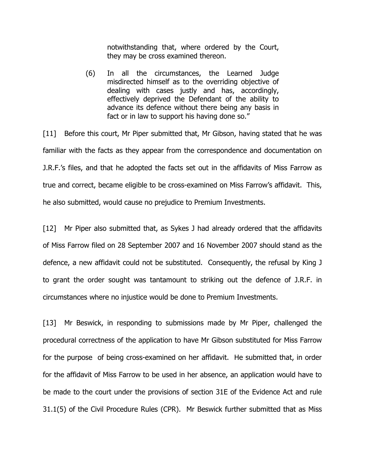notwithstanding that, where ordered by the Court, they may be cross examined thereon.

(6) In all the circumstances, the Learned Judge misdirected himself as to the overriding objective of dealing with cases justly and has, accordingly, effectively deprived the Defendant of the ability to advance its defence without there being any basis in fact or in law to support his having done so."

[11] Before this court, Mr Piper submitted that, Mr Gibson, having stated that he was familiar with the facts as they appear from the correspondence and documentation on J.R.F.'s files, and that he adopted the facts set out in the affidavits of Miss Farrow as true and correct, became eligible to be cross-examined on Miss Farrow's affidavit. This, he also submitted, would cause no prejudice to Premium Investments.

[12] Mr Piper also submitted that, as Sykes J had already ordered that the affidavits of Miss Farrow filed on 28 September 2007 and 16 November 2007 should stand as the defence, a new affidavit could not be substituted. Consequently, the refusal by King J to grant the order sought was tantamount to striking out the defence of J.R.F. in circumstances where no injustice would be done to Premium Investments.

[13] Mr Beswick, in responding to submissions made by Mr Piper, challenged the procedural correctness of the application to have Mr Gibson substituted for Miss Farrow for the purpose of being cross-examined on her affidavit. He submitted that, in order for the affidavit of Miss Farrow to be used in her absence, an application would have to be made to the court under the provisions of section 31E of the Evidence Act and rule 31.1(5) of the Civil Procedure Rules (CPR). Mr Beswick further submitted that as Miss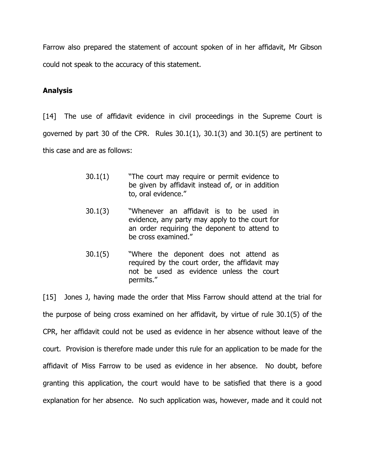Farrow also prepared the statement of account spoken of in her affidavit, Mr Gibson could not speak to the accuracy of this statement.

# Analysis

[14] The use of affidavit evidence in civil proceedings in the Supreme Court is governed by part 30 of the CPR. Rules  $30.1(1)$ ,  $30.1(3)$  and  $30.1(5)$  are pertinent to this case and are as follows:

- 30.1(1) "The court may require or permit evidence to be given by affidavit instead of, or in addition to, oral evidence."
- 30.1(3) "Whenever an affidavit is to be used in evidence, any party may apply to the court for an order requiring the deponent to attend to be cross examined."
- 30.1(5) "Where the deponent does not attend as required by the court order, the affidavit may not be used as evidence unless the court permits."

[15] Jones J, having made the order that Miss Farrow should attend at the trial for the purpose of being cross examined on her affidavit, by virtue of rule 30.1(5) of the CPR, her affidavit could not be used as evidence in her absence without leave of the court. Provision is therefore made under this rule for an application to be made for the affidavit of Miss Farrow to be used as evidence in her absence. No doubt, before granting this application, the court would have to be satisfied that there is a good explanation for her absence. No such application was, however, made and it could not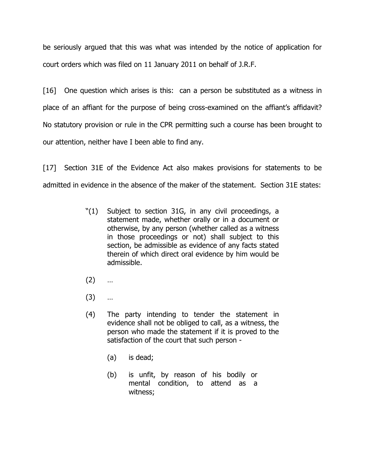be seriously argued that this was what was intended by the notice of application for court orders which was filed on 11 January 2011 on behalf of J.R.F.

[16] One question which arises is this: can a person be substituted as a witness in place of an affiant for the purpose of being cross-examined on the affiant's affidavit? No statutory provision or rule in the CPR permitting such a course has been brought to our attention, neither have I been able to find any.

[17] Section 31E of the Evidence Act also makes provisions for statements to be admitted in evidence in the absence of the maker of the statement. Section 31E states:

- "(1) Subject to section 31G, in any civil proceedings, a statement made, whether orally or in a document or otherwise, by any person (whether called as a witness in those proceedings or not) shall subject to this section, be admissible as evidence of any facts stated therein of which direct oral evidence by him would be admissible.
- $(2)$  …
- (3) …
- (4) The party intending to tender the statement in evidence shall not be obliged to call, as a witness, the person who made the statement if it is proved to the satisfaction of the court that such person -
	- (a) is dead;
	- (b) is unfit, by reason of his bodily or mental condition, to attend as a witness;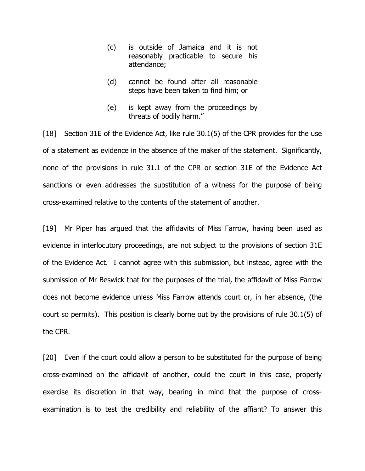- (c) is outside of Jamaica and it is not reasonably practicable to secure his attendance;
- (d) cannot be found after all reasonable steps have been taken to find him; or
- (e) is kept away from the proceedings by threats of bodily harm."

[18] Section 31E of the Evidence Act, like rule 30.1(5) of the CPR provides for the use of a statement as evidence in the absence of the maker of the statement. Significantly, none of the provisions in rule 31.1 of the CPR or section 31E of the Evidence Act sanctions or even addresses the substitution of a witness for the purpose of being cross-examined relative to the contents of the statement of another.

[19] Mr Piper has argued that the affidavits of Miss Farrow, having been used as evidence in interlocutory proceedings, are not subject to the provisions of section 31E of the Evidence Act. I cannot agree with this submission, but instead, agree with the submission of Mr Beswick that for the purposes of the trial, the affidavit of Miss Farrow does not become evidence unless Miss Farrow attends court or, in her absence, (the court so permits). This position is clearly borne out by the provisions of rule 30.1(5) of the CPR.

[20] Even if the court could allow a person to be substituted for the purpose of being cross-examined on the affidavit of another, could the court in this case, properly exercise its discretion in that way, bearing in mind that the purpose of crossexamination is to test the credibility and reliability of the affiant? To answer this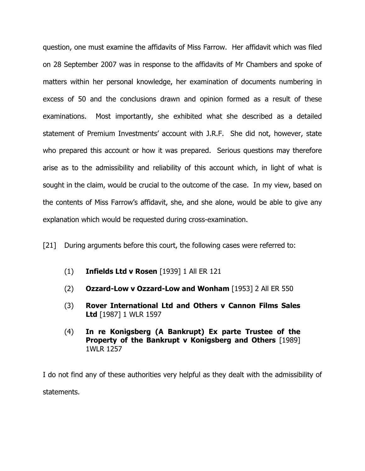question, one must examine the affidavits of Miss Farrow. Her affidavit which was filed on 28 September 2007 was in response to the affidavits of Mr Chambers and spoke of matters within her personal knowledge, her examination of documents numbering in excess of 50 and the conclusions drawn and opinion formed as a result of these examinations. Most importantly, she exhibited what she described as a detailed statement of Premium Investments' account with J.R.F. She did not, however, state who prepared this account or how it was prepared. Serious questions may therefore arise as to the admissibility and reliability of this account which, in light of what is sought in the claim, would be crucial to the outcome of the case. In my view, based on the contents of Miss Farrow's affidavit, she, and she alone, would be able to give any explanation which would be requested during cross-examination.

[21] During arguments before this court, the following cases were referred to:

- (1) Infields Ltd v Rosen [1939] 1 All ER 121
- (2) Ozzard-Low v Ozzard-Low and Wonham [1953] 2 All ER 550
- (3) Rover International Ltd and Others v Cannon Films Sales Ltd [1987] 1 WLR 1597
- (4) In re Konigsberg (A Bankrupt) Ex parte Trustee of the Property of the Bankrupt v Konigsberg and Others [1989] 1WLR 1257

I do not find any of these authorities very helpful as they dealt with the admissibility of statements.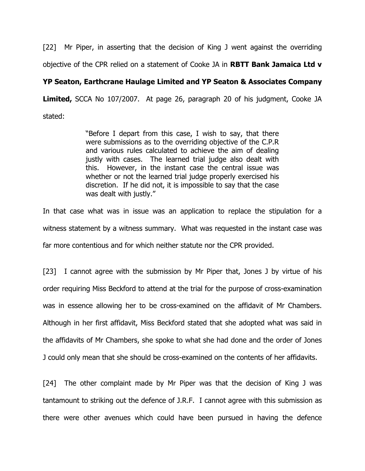[22] Mr Piper, in asserting that the decision of King J went against the overriding objective of the CPR relied on a statement of Cooke JA in **RBTT Bank Jamaica Ltd v** 

# YP Seaton, Earthcrane Haulage Limited and YP Seaton & Associates Company

Limited, SCCA No 107/2007. At page 26, paragraph 20 of his judgment, Cooke JA stated:

> "Before I depart from this case, I wish to say, that there were submissions as to the overriding objective of the C.P.R and various rules calculated to achieve the aim of dealing justly with cases. The learned trial judge also dealt with this. However, in the instant case the central issue was whether or not the learned trial judge properly exercised his discretion. If he did not, it is impossible to say that the case was dealt with justly."

In that case what was in issue was an application to replace the stipulation for a witness statement by a witness summary. What was requested in the instant case was far more contentious and for which neither statute nor the CPR provided.

[23] I cannot agree with the submission by Mr Piper that, Jones J by virtue of his order requiring Miss Beckford to attend at the trial for the purpose of cross-examination was in essence allowing her to be cross-examined on the affidavit of Mr Chambers. Although in her first affidavit, Miss Beckford stated that she adopted what was said in the affidavits of Mr Chambers, she spoke to what she had done and the order of Jones J could only mean that she should be cross-examined on the contents of her affidavits.

[24] The other complaint made by Mr Piper was that the decision of King J was tantamount to striking out the defence of J.R.F. I cannot agree with this submission as there were other avenues which could have been pursued in having the defence